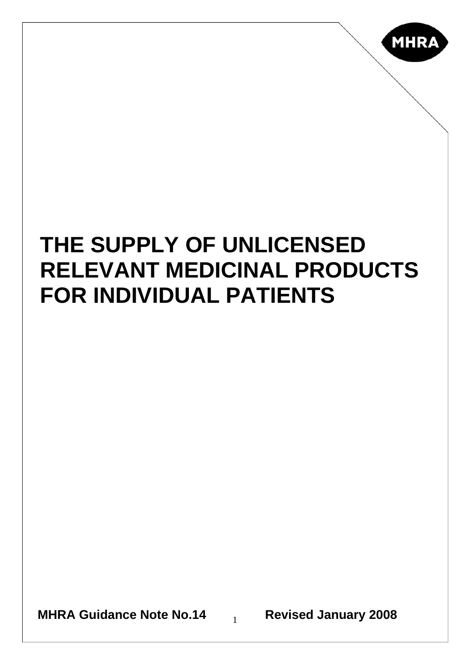

# **THE SUPPLY OF UNLICENSED RELEVANT MEDICINAL PRODUCTS FOR INDIVIDUAL PATIENTS**

**MHRA Guidance Note No.14** 1 **Revised January 2008**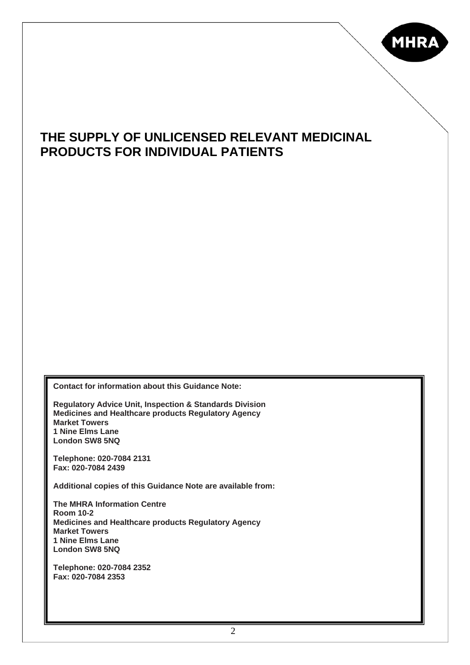

### **THE SUPPLY OF UNLICENSED RELEVANT MEDICINAL PRODUCTS FOR INDIVIDUAL PATIENTS**

**Contact for information about this Guidance Note:** 

**Regulatory Advice Unit, Inspection & Standards Division Medicines and Healthcare products Regulatory Agency Market Towers 1 Nine Elms Lane London SW8 5NQ** 

**Telephone: 020-7084 2131 Fax: 020-7084 2439** 

**Additional copies of this Guidance Note are available from:** 

**The MHRA Information Centre Room 10-2 Medicines and Healthcare products Regulatory Agency Market Towers 1 Nine Elms Lane London SW8 5NQ** 

**Telephone: 020-7084 2352 Fax: 020-7084 2353**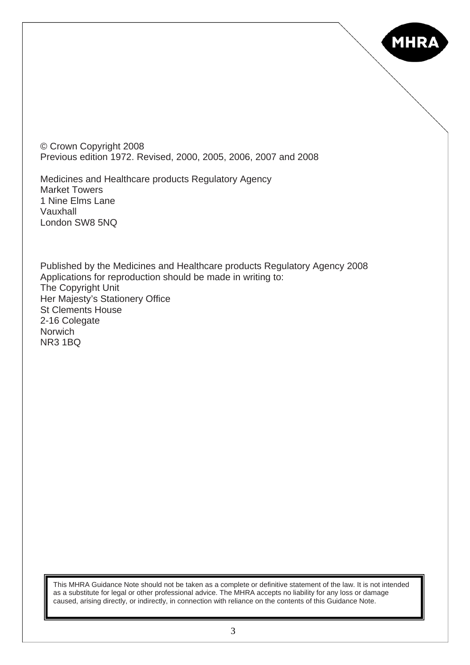

© Crown Copyright 2008 Previous edition 1972. Revised, 2000, 2005, 2006, 2007 and 2008

Medicines and Healthcare products Regulatory Agency Market Towers 1 Nine Elms Lane Vauxhall London SW8 5NQ

Published by the Medicines and Healthcare products Regulatory Agency 2008 Applications for reproduction should be made in writing to: The Copyright Unit Her Majesty's Stationery Office St Clements House 2-16 Colegate **Norwich** NR3 1BQ

This MHRA Guidance Note should not be taken as a complete or definitive statement of the law. It is not intended as a substitute for legal or other professional advice. The MHRA accepts no liability for any loss or damage caused, arising directly, or indirectly, in connection with reliance on the contents of this Guidance Note.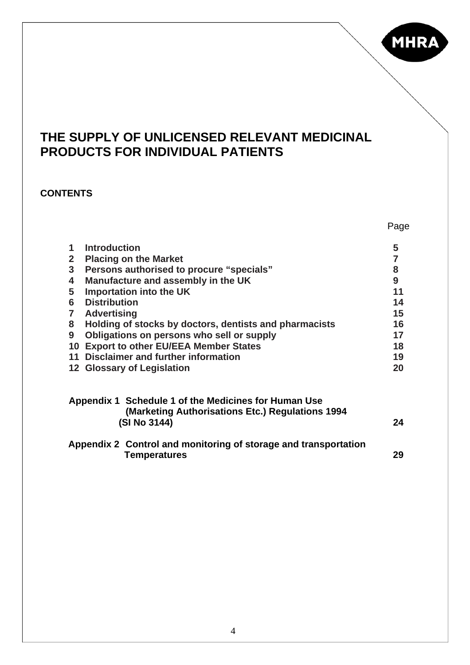

Page

### **THE SUPPLY OF UNLICENSED RELEVANT MEDICINAL PRODUCTS FOR INDIVIDUAL PATIENTS**

#### **CONTENTS**

| 1              | <b>Introduction</b>                                              | 5  |  |
|----------------|------------------------------------------------------------------|----|--|
| $\overline{2}$ | <b>Placing on the Market</b>                                     |    |  |
| $\mathbf{3}$   | Persons authorised to procure "specials"                         |    |  |
| 4              | Manufacture and assembly in the UK                               |    |  |
| 5              | Importation into the UK                                          |    |  |
| 6              | <b>Distribution</b>                                              | 14 |  |
| $\overline{7}$ | <b>Advertising</b>                                               | 15 |  |
| 8              | Holding of stocks by doctors, dentists and pharmacists           | 16 |  |
| 9              | Obligations on persons who sell or supply                        | 17 |  |
|                | 10 Export to other EU/EEA Member States                          | 18 |  |
|                | 11 Disclaimer and further information                            | 19 |  |
|                | 12 Glossary of Legislation                                       | 20 |  |
|                | Appendix 1 Schedule 1 of the Medicines for Human Use             |    |  |
|                | (Marketing Authorisations Etc.) Regulations 1994<br>(SI No 3144) | 24 |  |
|                | Appendix 2 Control and monitoring of storage and transportation  |    |  |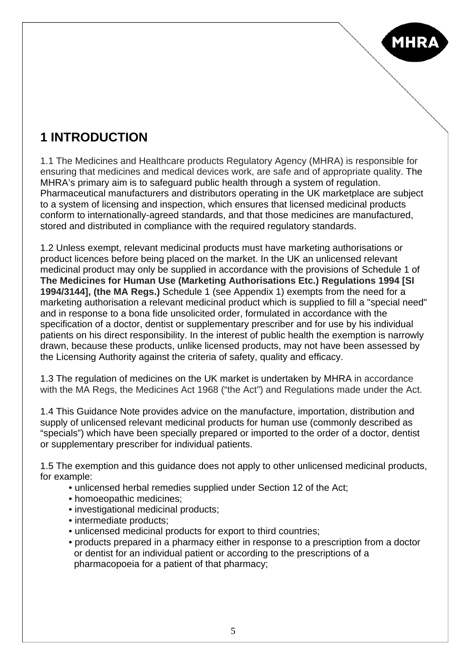# **1 INTRODUCTION**

1.1 The Medicines and Healthcare products Regulatory Agency (MHRA) is responsible for ensuring that medicines and medical devices work, are safe and of appropriate quality. The MHRA's primary aim is to safeguard public health through a system of regulation. Pharmaceutical manufacturers and distributors operating in the UK marketplace are subject to a system of licensing and inspection, which ensures that licensed medicinal products conform to internationally-agreed standards, and that those medicines are manufactured, stored and distributed in compliance with the required regulatory standards.

1.2 Unless exempt, relevant medicinal products must have marketing authorisations or product licences before being placed on the market. In the UK an unlicensed relevant medicinal product may only be supplied in accordance with the provisions of Schedule 1 of **The Medicines for Human Use (Marketing Authorisations Etc.) Regulations 1994 [SI 1994/3144], (the MA Regs.)** Schedule 1 (see Appendix 1) exempts from the need for a marketing authorisation a relevant medicinal product which is supplied to fill a "special need" and in response to a bona fide unsolicited order, formulated in accordance with the specification of a doctor, dentist or supplementary prescriber and for use by his individual patients on his direct responsibility. In the interest of public health the exemption is narrowly drawn, because these products, unlike licensed products, may not have been assessed by the Licensing Authority against the criteria of safety, quality and efficacy.

1.3 The regulation of medicines on the UK market is undertaken by MHRA in accordance with the MA Regs, the Medicines Act 1968 ("the Act") and Regulations made under the Act.

1.4 This Guidance Note provides advice on the manufacture, importation, distribution and supply of unlicensed relevant medicinal products for human use (commonly described as "specials") which have been specially prepared or imported to the order of a doctor, dentist or supplementary prescriber for individual patients.

1.5 The exemption and this guidance does not apply to other unlicensed medicinal products, for example:

- unlicensed herbal remedies supplied under Section 12 of the Act;
- homoeopathic medicines;
- investigational medicinal products;
- intermediate products;
- unlicensed medicinal products for export to third countries;
- products prepared in a pharmacy either in response to a prescription from a doctor or dentist for an individual patient or according to the prescriptions of a pharmacopoeia for a patient of that pharmacy;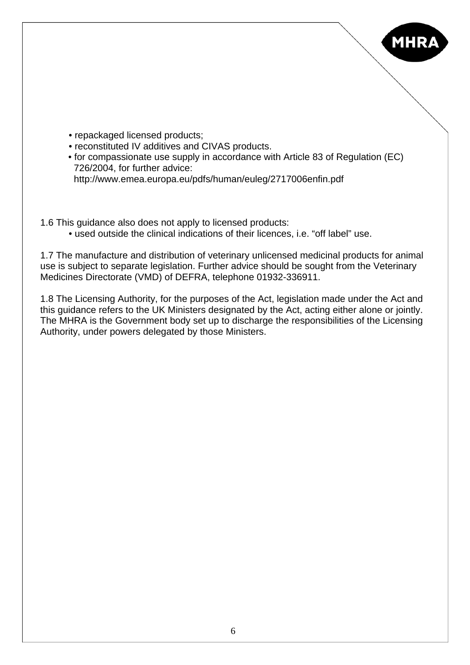

- repackaged licensed products;
- reconstituted IV additives and CIVAS products.
- for compassionate use supply in accordance with Article 83 of Regulation (EC) 726/2004, for further advice: http://www.emea.europa.eu/pdfs/human/euleg/2717006enfin.pdf
- 
- 1.6 This guidance also does not apply to licensed products:
	- used outside the clinical indications of their licences, i.e. "off label" use.

1.7 The manufacture and distribution of veterinary unlicensed medicinal products for animal use is subject to separate legislation. Further advice should be sought from the Veterinary Medicines Directorate (VMD) of DEFRA, telephone 01932-336911.

1.8 The Licensing Authority, for the purposes of the Act, legislation made under the Act and this guidance refers to the UK Ministers designated by the Act, acting either alone or jointly. The MHRA is the Government body set up to discharge the responsibilities of the Licensing Authority, under powers delegated by those Ministers.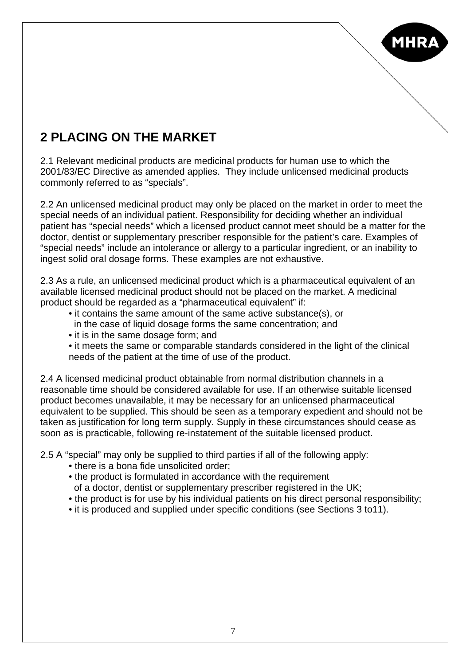

# **2 PLACING ON THE MARKET**

2.1 Relevant medicinal products are medicinal products for human use to which the 2001/83/EC Directive as amended applies. They include unlicensed medicinal products commonly referred to as "specials".

2.2 An unlicensed medicinal product may only be placed on the market in order to meet the special needs of an individual patient. Responsibility for deciding whether an individual patient has "special needs" which a licensed product cannot meet should be a matter for the doctor, dentist or supplementary prescriber responsible for the patient's care. Examples of "special needs" include an intolerance or allergy to a particular ingredient, or an inability to ingest solid oral dosage forms. These examples are not exhaustive.

2.3 As a rule, an unlicensed medicinal product which is a pharmaceutical equivalent of an available licensed medicinal product should not be placed on the market. A medicinal product should be regarded as a "pharmaceutical equivalent" if:

- it contains the same amount of the same active substance(s), or in the case of liquid dosage forms the same concentration; and
- it is in the same dosage form; and
- it meets the same or comparable standards considered in the light of the clinical needs of the patient at the time of use of the product.

2.4 A licensed medicinal product obtainable from normal distribution channels in a reasonable time should be considered available for use. If an otherwise suitable licensed product becomes unavailable, it may be necessary for an unlicensed pharmaceutical equivalent to be supplied. This should be seen as a temporary expedient and should not be taken as justification for long term supply. Supply in these circumstances should cease as soon as is practicable, following re-instatement of the suitable licensed product.

2.5 A "special" may only be supplied to third parties if all of the following apply:

- there is a bona fide unsolicited order:
- the product is formulated in accordance with the requirement of a doctor, dentist or supplementary prescriber registered in the UK;
- the product is for use by his individual patients on his direct personal responsibility;
- it is produced and supplied under specific conditions (see Sections 3 to11).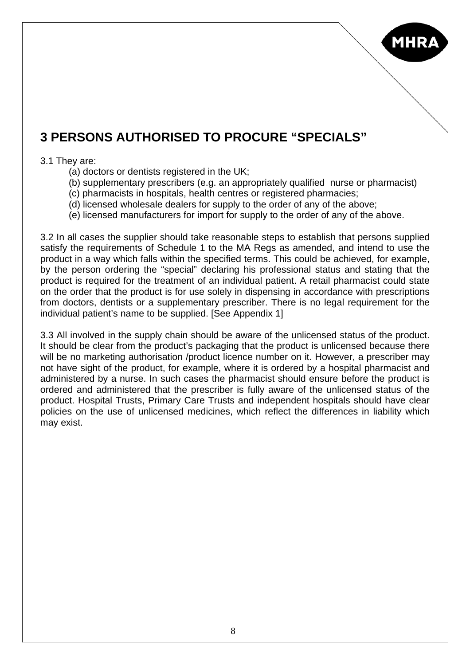

### **3 PERSONS AUTHORISED TO PROCURE "SPECIALS"**

#### 3.1 They are:

- (a) doctors or dentists registered in the UK;
- (b) supplementary prescribers (e.g. an appropriately qualified nurse or pharmacist)
- (c) pharmacists in hospitals, health centres or registered pharmacies;
- (d) licensed wholesale dealers for supply to the order of any of the above;
- (e) licensed manufacturers for import for supply to the order of any of the above.

3.2 In all cases the supplier should take reasonable steps to establish that persons supplied satisfy the requirements of Schedule 1 to the MA Regs as amended, and intend to use the product in a way which falls within the specified terms. This could be achieved, for example, by the person ordering the "special" declaring his professional status and stating that the product is required for the treatment of an individual patient. A retail pharmacist could state on the order that the product is for use solely in dispensing in accordance with prescriptions from doctors, dentists or a supplementary prescriber. There is no legal requirement for the individual patient's name to be supplied. [See Appendix 1]

3.3 All involved in the supply chain should be aware of the unlicensed status of the product. It should be clear from the product's packaging that the product is unlicensed because there will be no marketing authorisation /product licence number on it. However, a prescriber may not have sight of the product, for example, where it is ordered by a hospital pharmacist and administered by a nurse. In such cases the pharmacist should ensure before the product is ordered and administered that the prescriber is fully aware of the unlicensed status of the product. Hospital Trusts, Primary Care Trusts and independent hospitals should have clear policies on the use of unlicensed medicines, which reflect the differences in liability which may exist.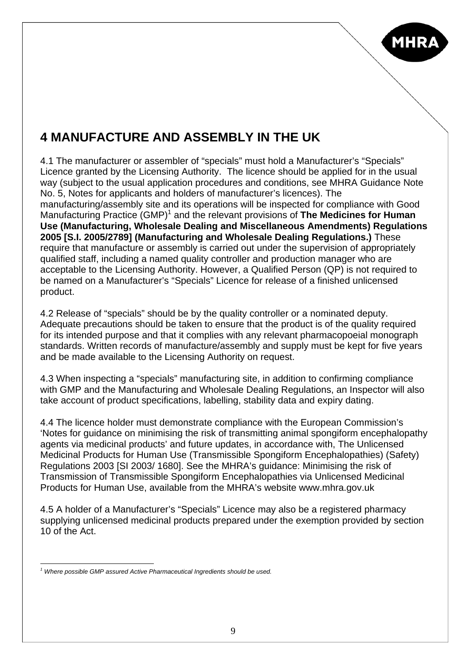

### **4 MANUFACTURE AND ASSEMBLY IN THE UK**

4.1 The manufacturer or assembler of "specials" must hold a Manufacturer's "Specials" Licence granted by the Licensing Authority. The licence should be applied for in the usual way (subject to the usual application procedures and conditions, see MHRA Guidance Note No. 5, Notes for applicants and holders of manufacturer's licences). The manufacturing/assembly site and its operations will be inspected for compliance with Good Manufacturing Practice (GMP)<sup>[1](#page-8-0)</sup> and the relevant provisions of The Medicines for Human **Use (Manufacturing, Wholesale Dealing and Miscellaneous Amendments) Regulations 2005 [S.I. 2005/2789] (Manufacturing and Wholesale Dealing Regulations.)** These require that manufacture or assembly is carried out under the supervision of appropriately qualified staff, including a named quality controller and production manager who are acceptable to the Licensing Authority. However, a Qualified Person (QP) is not required to be named on a Manufacturer's "Specials" Licence for release of a finished unlicensed product.

4.2 Release of "specials" should be by the quality controller or a nominated deputy. Adequate precautions should be taken to ensure that the product is of the quality required for its intended purpose and that it complies with any relevant pharmacopoeial monograph standards. Written records of manufacture/assembly and supply must be kept for five years and be made available to the Licensing Authority on request.

4.3 When inspecting a "specials" manufacturing site, in addition to confirming compliance with GMP and the Manufacturing and Wholesale Dealing Regulations, an Inspector will also take account of product specifications, labelling, stability data and expiry dating.

4.4 The licence holder must demonstrate compliance with the European Commission's 'Notes for guidance on minimising the risk of transmitting animal spongiform encephalopathy agents via medicinal products' and future updates, in accordance with, The Unlicensed Medicinal Products for Human Use (Transmissible Spongiform Encephalopathies) (Safety) Regulations 2003 [SI 2003/ 1680]. See the MHRA's guidance: Minimising the risk of Transmission of Transmissible Spongiform Encephalopathies via Unlicensed Medicinal Products for Human Use, available from the MHRA's website www.mhra.gov.uk

4.5 A holder of a Manufacturer's "Specials" Licence may also be a registered pharmacy supplying unlicensed medicinal products prepared under the exemption provided by section 10 of the Act.

<span id="page-8-0"></span> $\overline{a}$ *<sup>1</sup> Where possible GMP assured Active Pharmaceutical Ingredients should be used.*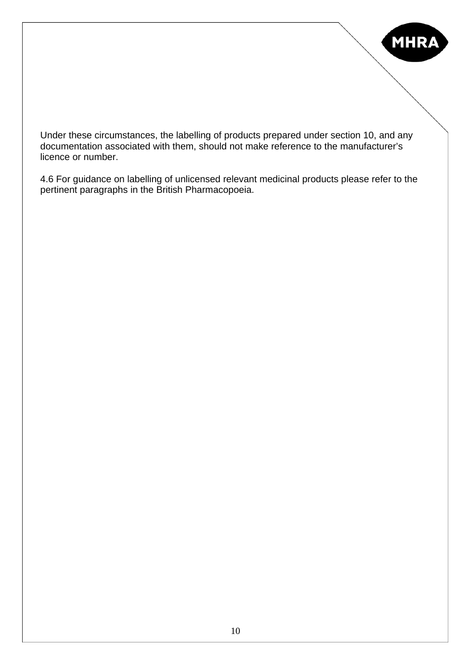

Under these circumstances, the labelling of products prepared under section 10, and any documentation associated with them, should not make reference to the manufacturer's licence or number.

4.6 For guidance on labelling of unlicensed relevant medicinal products please refer to the pertinent paragraphs in the British Pharmacopoeia.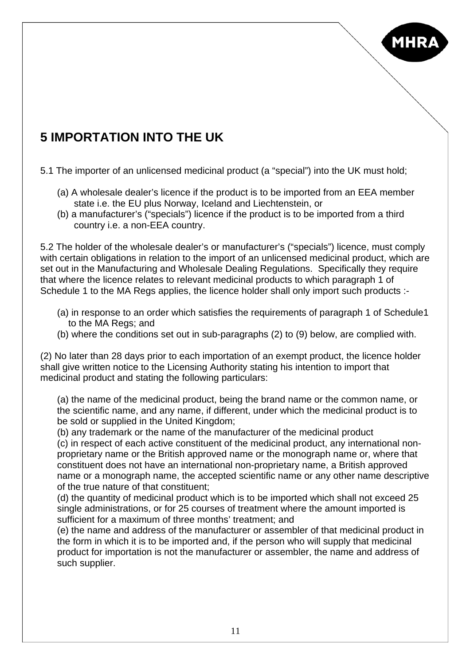

# **5 IMPORTATION INTO THE UK**

5.1 The importer of an unlicensed medicinal product (a "special") into the UK must hold;

- (a) A wholesale dealer's licence if the product is to be imported from an EEA member state i.e. the EU plus Norway, Iceland and Liechtenstein, or
- (b) a manufacturer's ("specials") licence if the product is to be imported from a third country i.e. a non-EEA country.

5.2 The holder of the wholesale dealer's or manufacturer's ("specials") licence, must comply with certain obligations in relation to the import of an unlicensed medicinal product, which are set out in the Manufacturing and Wholesale Dealing Regulations. Specifically they require that where the licence relates to relevant medicinal products to which paragraph 1 of Schedule 1 to the MA Regs applies, the licence holder shall only import such products :-

- (a) in response to an order which satisfies the requirements of paragraph 1 of Schedule1 to the MA Regs; and
- (b) where the conditions set out in sub-paragraphs (2) to (9) below, are complied with.

(2) No later than 28 days prior to each importation of an exempt product, the licence holder shall give written notice to the Licensing Authority stating his intention to import that medicinal product and stating the following particulars:

(a) the name of the medicinal product, being the brand name or the common name, or the scientific name, and any name, if different, under which the medicinal product is to be sold or supplied in the United Kingdom;

(b) any trademark or the name of the manufacturer of the medicinal product

(c) in respect of each active constituent of the medicinal product, any international nonproprietary name or the British approved name or the monograph name or, where that constituent does not have an international non-proprietary name, a British approved name or a monograph name, the accepted scientific name or any other name descriptive of the true nature of that constituent;

(d) the quantity of medicinal product which is to be imported which shall not exceed 25 single administrations, or for 25 courses of treatment where the amount imported is sufficient for a maximum of three months' treatment; and

(e) the name and address of the manufacturer or assembler of that medicinal product in the form in which it is to be imported and, if the person who will supply that medicinal product for importation is not the manufacturer or assembler, the name and address of such supplier.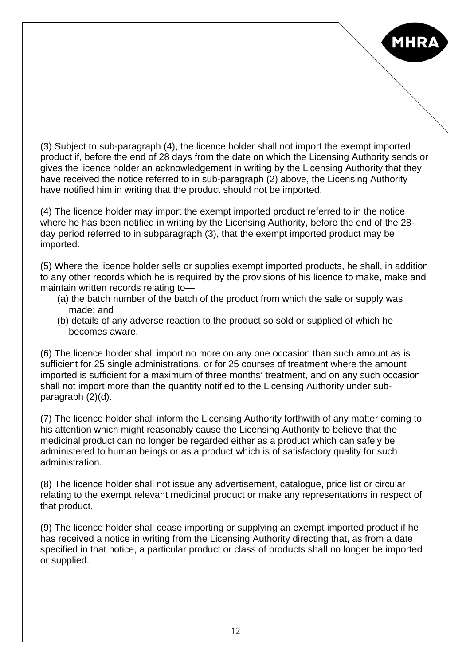

(3) Subject to sub-paragraph (4), the licence holder shall not import the exempt imported product if, before the end of 28 days from the date on which the Licensing Authority sends or gives the licence holder an acknowledgement in writing by the Licensing Authority that they have received the notice referred to in sub-paragraph (2) above, the Licensing Authority have notified him in writing that the product should not be imported.

(4) The licence holder may import the exempt imported product referred to in the notice where he has been notified in writing by the Licensing Authority, before the end of the 28 day period referred to in subparagraph (3), that the exempt imported product may be imported.

(5) Where the licence holder sells or supplies exempt imported products, he shall, in addition to any other records which he is required by the provisions of his licence to make, make and maintain written records relating to—

- (a) the batch number of the batch of the product from which the sale or supply was made; and
- (b) details of any adverse reaction to the product so sold or supplied of which he becomes aware.

(6) The licence holder shall import no more on any one occasion than such amount as is sufficient for 25 single administrations, or for 25 courses of treatment where the amount imported is sufficient for a maximum of three months' treatment, and on any such occasion shall not import more than the quantity notified to the Licensing Authority under subparagraph (2)(d).

(7) The licence holder shall inform the Licensing Authority forthwith of any matter coming to his attention which might reasonably cause the Licensing Authority to believe that the medicinal product can no longer be regarded either as a product which can safely be administered to human beings or as a product which is of satisfactory quality for such administration.

(8) The licence holder shall not issue any advertisement, catalogue, price list or circular relating to the exempt relevant medicinal product or make any representations in respect of that product.

(9) The licence holder shall cease importing or supplying an exempt imported product if he has received a notice in writing from the Licensing Authority directing that, as from a date specified in that notice, a particular product or class of products shall no longer be imported or supplied.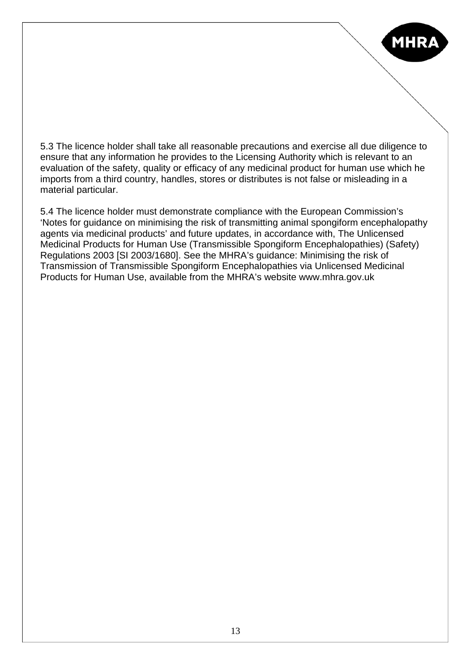

5.3 The licence holder shall take all reasonable precautions and exercise all due diligence to ensure that any information he provides to the Licensing Authority which is relevant to an evaluation of the safety, quality or efficacy of any medicinal product for human use which he imports from a third country, handles, stores or distributes is not false or misleading in a material particular.

5.4 The licence holder must demonstrate compliance with the European Commission's 'Notes for guidance on minimising the risk of transmitting animal spongiform encephalopathy agents via medicinal products' and future updates, in accordance with, The Unlicensed Medicinal Products for Human Use (Transmissible Spongiform Encephalopathies) (Safety) Regulations 2003 [SI 2003/1680]. See the MHRA's guidance: Minimising the risk of Transmission of Transmissible Spongiform Encephalopathies via Unlicensed Medicinal Products for Human Use, available from the MHRA's website www.mhra.gov.uk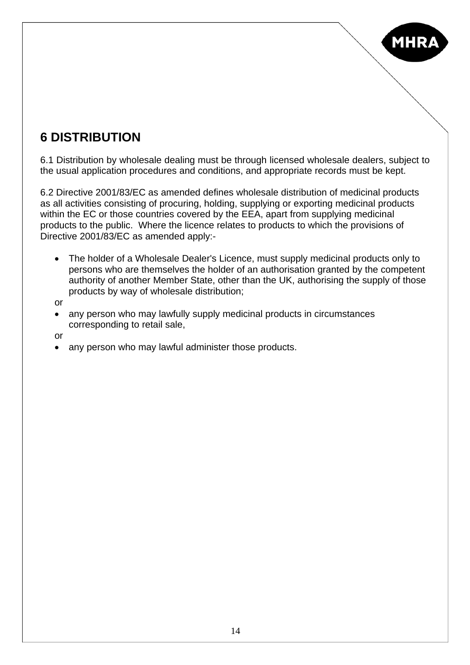

### **6 DISTRIBUTION**

6.1 Distribution by wholesale dealing must be through licensed wholesale dealers, subject to the usual application procedures and conditions, and appropriate records must be kept.

6.2 Directive 2001/83/EC as amended defines wholesale distribution of medicinal products as all activities consisting of procuring, holding, supplying or exporting medicinal products within the EC or those countries covered by the EEA, apart from supplying medicinal products to the public. Where the licence relates to products to which the provisions of Directive 2001/83/EC as amended apply:-

- The holder of a Wholesale Dealer's Licence, must supply medicinal products only to persons who are themselves the holder of an authorisation granted by the competent authority of another Member State, other than the UK, authorising the supply of those products by way of wholesale distribution;
- or
- any person who may lawfully supply medicinal products in circumstances corresponding to retail sale,

or

• any person who may lawful administer those products.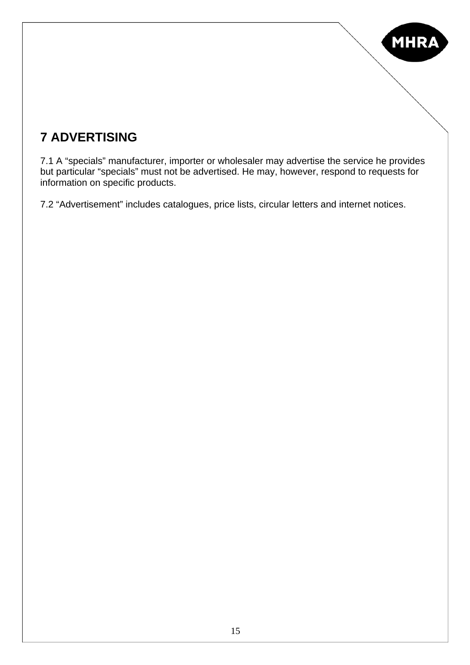

# **7 ADVERTISING**

7.1 A "specials" manufacturer, importer or wholesaler may advertise the service he provides but particular "specials" must not be advertised. He may, however, respond to requests for information on specific products.

7.2 "Advertisement" includes catalogues, price lists, circular letters and internet notices.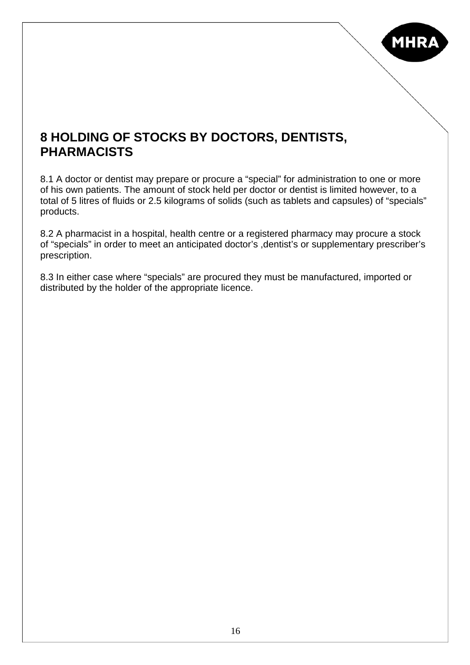

### **8 HOLDING OF STOCKS BY DOCTORS, DENTISTS, PHARMACISTS**

8.1 A doctor or dentist may prepare or procure a "special" for administration to one or more of his own patients. The amount of stock held per doctor or dentist is limited however, to a total of 5 litres of fluids or 2.5 kilograms of solids (such as tablets and capsules) of "specials" products.

8.2 A pharmacist in a hospital, health centre or a registered pharmacy may procure a stock of "specials" in order to meet an anticipated doctor's ,dentist's or supplementary prescriber's prescription.

8.3 In either case where "specials" are procured they must be manufactured, imported or distributed by the holder of the appropriate licence.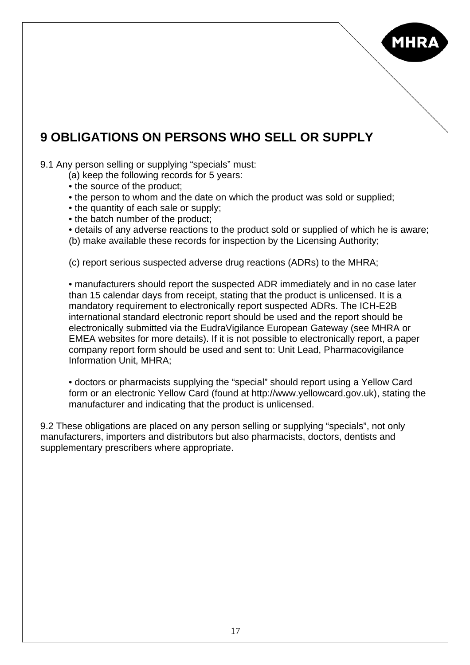

### **9 OBLIGATIONS ON PERSONS WHO SELL OR SUPPLY**

#### 9.1 Any person selling or supplying "specials" must:

- (a) keep the following records for 5 years:
- the source of the product;
- the person to whom and the date on which the product was sold or supplied:
- the quantity of each sale or supply;
- the batch number of the product;
- details of any adverse reactions to the product sold or supplied of which he is aware;
- (b) make available these records for inspection by the Licensing Authority;

(c) report serious suspected adverse drug reactions (ADRs) to the MHRA;

• manufacturers should report the suspected ADR immediately and in no case later than 15 calendar days from receipt, stating that the product is unlicensed. It is a mandatory requirement to electronically report suspected ADRs. The ICH-E2B international standard electronic report should be used and the report should be electronically submitted via the EudraVigilance European Gateway (see MHRA or EMEA websites for more details). If it is not possible to electronically report, a paper company report form should be used and sent to: Unit Lead, Pharmacovigilance Information Unit, MHRA;

• doctors or pharmacists supplying the "special" should report using a Yellow Card form or an electronic Yellow Card (found at http://www.yellowcard.gov.uk), stating the manufacturer and indicating that the product is unlicensed.

9.2 These obligations are placed on any person selling or supplying "specials", not only manufacturers, importers and distributors but also pharmacists, doctors, dentists and supplementary prescribers where appropriate.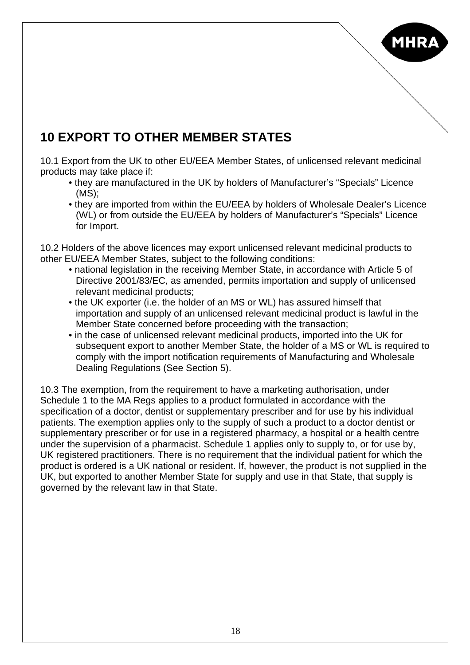

## **10 EXPORT TO OTHER MEMBER STATES**

10.1 Export from the UK to other EU/EEA Member States, of unlicensed relevant medicinal products may take place if:

- they are manufactured in the UK by holders of Manufacturer's "Specials" Licence (MS);
- they are imported from within the EU/EEA by holders of Wholesale Dealer's Licence (WL) or from outside the EU/EEA by holders of Manufacturer's "Specials" Licence for Import.

10.2 Holders of the above licences may export unlicensed relevant medicinal products to other EU/EEA Member States, subject to the following conditions:

- national legislation in the receiving Member State, in accordance with Article 5 of Directive 2001/83/EC, as amended, permits importation and supply of unlicensed relevant medicinal products;
- the UK exporter (i.e. the holder of an MS or WL) has assured himself that importation and supply of an unlicensed relevant medicinal product is lawful in the Member State concerned before proceeding with the transaction;
- in the case of unlicensed relevant medicinal products, imported into the UK for subsequent export to another Member State, the holder of a MS or WL is required to comply with the import notification requirements of Manufacturing and Wholesale Dealing Regulations (See Section 5).

10.3 The exemption, from the requirement to have a marketing authorisation, under Schedule 1 to the MA Regs applies to a product formulated in accordance with the specification of a doctor, dentist or supplementary prescriber and for use by his individual patients. The exemption applies only to the supply of such a product to a doctor dentist or supplementary prescriber or for use in a registered pharmacy, a hospital or a health centre under the supervision of a pharmacist. Schedule 1 applies only to supply to, or for use by, UK registered practitioners. There is no requirement that the individual patient for which the product is ordered is a UK national or resident. If, however, the product is not supplied in the UK, but exported to another Member State for supply and use in that State, that supply is governed by the relevant law in that State.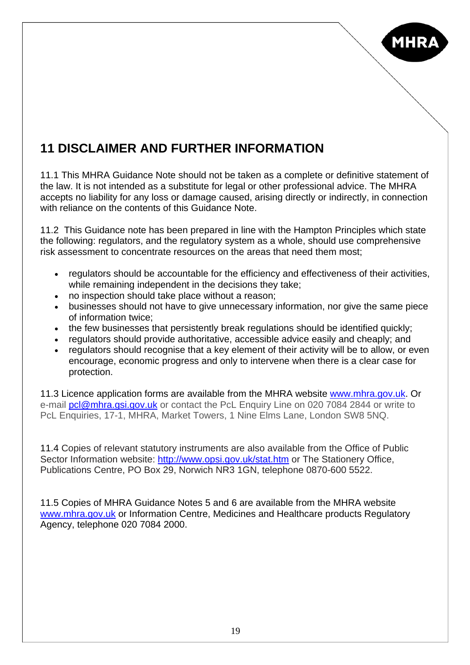

# **11 DISCLAIMER AND FURTHER INFORMATION**

11.1 This MHRA Guidance Note should not be taken as a complete or definitive statement of the law. It is not intended as a substitute for legal or other professional advice. The MHRA accepts no liability for any loss or damage caused, arising directly or indirectly, in connection with reliance on the contents of this Guidance Note.

11.2 This Guidance note has been prepared in line with the Hampton Principles which state the following: regulators, and the regulatory system as a whole, should use comprehensive risk assessment to concentrate resources on the areas that need them most;

- regulators should be accountable for the efficiency and effectiveness of their activities, while remaining independent in the decisions they take;
- no inspection should take place without a reason;
- businesses should not have to give unnecessary information, nor give the same piece of information twice;
- the few businesses that persistently break regulations should be identified quickly;
- regulators should provide authoritative, accessible advice easily and cheaply; and
- regulators should recognise that a key element of their activity will be to allow, or even encourage, economic progress and only to intervene when there is a clear case for protection.

11.3 Licence application forms are available from the MHRA website [www.mhra.gov.uk](http://www.mhra.gov.uk/). Or e-mail [pcl@mhra.gsi.gov.uk](mailto:pcl@mhra.gsi.gov.uk) or contact the PcL Enguiry Line on 020 7084 2844 or write to PcL Enquiries, 17-1, MHRA, Market Towers, 1 Nine Elms Lane, London SW8 5NQ.

11.4 Copies of relevant statutory instruments are also available from the Office of Public Sector Information website: <http://www.opsi.gov.uk/stat.htm>or The Stationery Office, Publications Centre, PO Box 29, Norwich NR3 1GN, telephone 0870-600 5522.

11.5 Copies of MHRA Guidance Notes 5 and 6 are available from the MHRA website [www.mhra.gov.uk](http://www.mhra.gov.uk/) or Information Centre, Medicines and Healthcare products Regulatory Agency, telephone 020 7084 2000.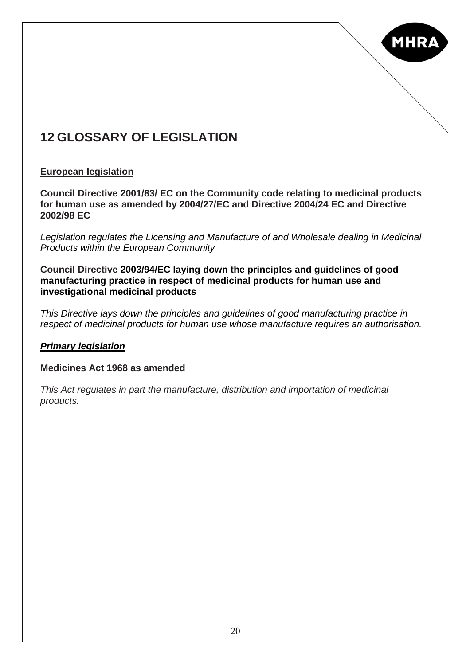

## **12 GLOSSARY OF LEGISLATION**

#### **European legislation**

**Council Directive 2001/83/ EC on the Community code relating to medicinal products for human use as amended by 2004/27/EC and Directive 2004/24 EC and Directive 2002/98 EC** 

*Legislation regulates the Licensing and Manufacture of and Wholesale dealing in Medicinal Products within the European Community* 

**Council Directive 2003/94/EC laying down the principles and guidelines of good manufacturing practice in respect of medicinal products for human use and investigational medicinal products** 

*This Directive lays down the principles and guidelines of good manufacturing practice in respect of medicinal products for human use whose manufacture requires an authorisation.* 

#### *Primary legislation*

#### **Medicines Act 1968 as amended**

*This Act regulates in part the manufacture, distribution and importation of medicinal products.*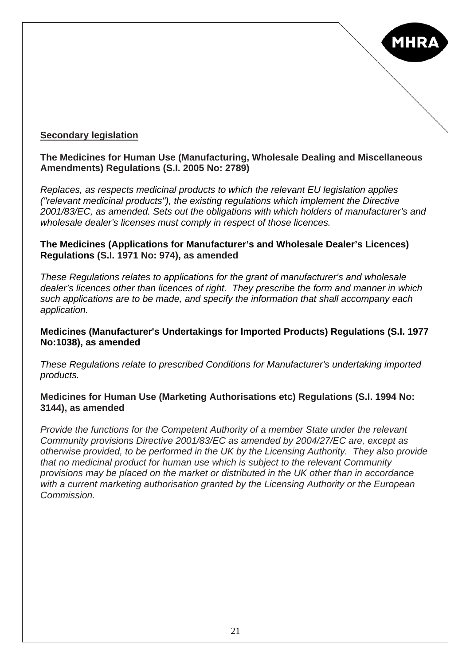

#### **Secondary legislation**

#### **The Medicines for Human Use (Manufacturing, Wholesale Dealing and Miscellaneous Amendments) Regulations (S.I. 2005 No: 2789)**

*Replaces, as respects medicinal products to which the relevant EU legislation applies ("relevant medicinal products"), the existing regulations which implement the Directive 2001/83/EC, as amended. Sets out the obligations with which holders of manufacturer's and wholesale dealer's licenses must comply in respect of those licences.* 

#### **The Medicines (Applications for Manufacturer's and Wholesale Dealer's Licences) Regulations (S.I. 1971 No: 974), as amended**

*These Regulations relates to applications for the grant of manufacturer's and wholesale dealer's licences other than licences of right. They prescribe the form and manner in which such applications are to be made, and specify the information that shall accompany each application.*

#### **Medicines (Manufacturer's Undertakings for Imported Products) Regulations (S.I. 1977 No:1038), as amended**

*These Regulations relate to prescribed Conditions for Manufacturer's undertaking imported products.* 

#### **Medicines for Human Use (Marketing Authorisations etc) Regulations (S.I. 1994 No: 3144), as amended**

*Provide the functions for the Competent Authority of a member State under the relevant Community provisions Directive 2001/83/EC as amended by 2004/27/EC are, except as otherwise provided, to be performed in the UK by the Licensing Authority. They also provide that no medicinal product for human use which is subject to the relevant Community provisions may be placed on the market or distributed in the UK other than in accordance with a current marketing authorisation granted by the Licensing Authority or the European Commission.*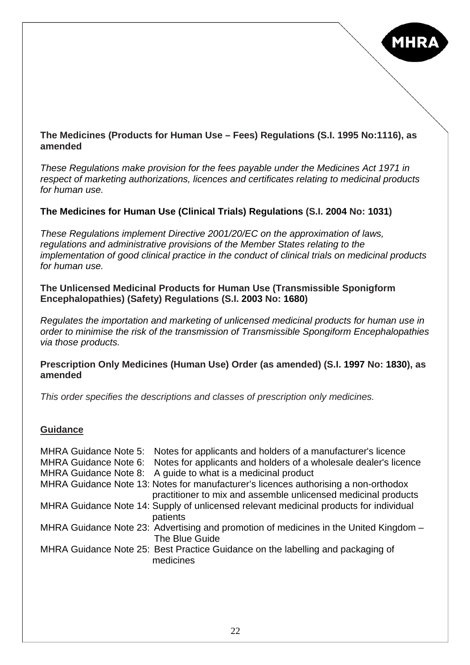

#### **The Medicines (Products for Human Use – Fees) Regulations (S.I. 1995 No:1116), as amended**

*These Regulations make provision for the fees payable under the Medicines Act 1971 in respect of marketing authorizations, licences and certificates relating to medicinal products for human use.*

#### **The Medicines for Human Use (Clinical Trials) Regulations (S.I. 2004 No: 1031)**

*These Regulations implement Directive 2001/20/EC on the approximation of laws, regulations and administrative provisions of the Member States relating to the implementation of good clinical practice in the conduct of clinical trials on medicinal products for human use.* 

#### **The Unlicensed Medicinal Products for Human Use (Transmissible Sponigform Encephalopathies) (Safety) Regulations (S.I. 2003 No: 1680)**

*Regulates the importation and marketing of unlicensed medicinal products for human use in order to minimise the risk of the transmission of Transmissible Spongiform Encephalopathies via those products.* 

#### **Prescription Only Medicines (Human Use) Order (as amended) (S.I. 1997 No: 1830), as amended**

*This order specifies the descriptions and classes of prescription only medicines.* 

#### **Guidance**

|  | MHRA Guidance Note 5: Notes for applicants and holders of a manufacturer's licence                                                                    |
|--|-------------------------------------------------------------------------------------------------------------------------------------------------------|
|  | MHRA Guidance Note 6: Notes for applicants and holders of a wholesale dealer's licence                                                                |
|  | MHRA Guidance Note 8: A guide to what is a medicinal product                                                                                          |
|  | MHRA Guidance Note 13: Notes for manufacturer's licences authorising a non-orthodox<br>practitioner to mix and assemble unlicensed medicinal products |
|  | MHRA Guidance Note 14: Supply of unlicensed relevant medicinal products for individual<br>patients                                                    |
|  | MHRA Guidance Note 23: Advertising and promotion of medicines in the United Kingdom -<br>The Blue Guide                                               |
|  | MHRA Guidance Note 25: Best Practice Guidance on the labelling and packaging of<br>medicines                                                          |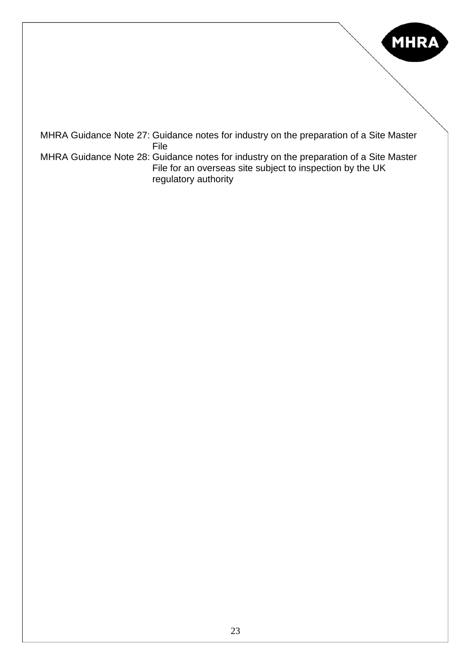

MHRA Guidance Note 27: Guidance notes for industry on the preparation of a Site Master File MHRA Guidance Note 28: Guidance notes for industry on the preparation of a Site Master File for an overseas site subject to inspection by the UK regulatory authority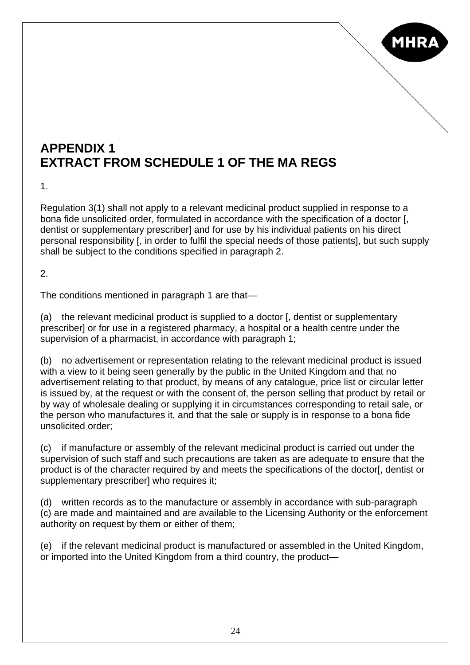

### **APPENDIX 1 EXTRACT FROM SCHEDULE 1 OF THE MA REGS**

1.

Regulation 3(1) shall not apply to a relevant medicinal product supplied in response to a bona fide unsolicited order, formulated in accordance with the specification of a doctor [, dentist or supplementary prescriber] and for use by his individual patients on his direct personal responsibility [, in order to fulfil the special needs of those patients], but such supply shall be subject to the conditions specified in paragraph 2.

 $\mathcal{P}$ 

The conditions mentioned in paragraph 1 are that—

(a) the relevant medicinal product is supplied to a doctor [, dentist or supplementary prescriber] or for use in a registered pharmacy, a hospital or a health centre under the supervision of a pharmacist, in accordance with paragraph 1;

(b) no advertisement or representation relating to the relevant medicinal product is issued with a view to it being seen generally by the public in the United Kingdom and that no advertisement relating to that product, by means of any catalogue, price list or circular letter is issued by, at the request or with the consent of, the person selling that product by retail or by way of wholesale dealing or supplying it in circumstances corresponding to retail sale, or the person who manufactures it, and that the sale or supply is in response to a bona fide unsolicited order;

(c) if manufacture or assembly of the relevant medicinal product is carried out under the supervision of such staff and such precautions are taken as are adequate to ensure that the product is of the character required by and meets the specifications of the doctor[, dentist or supplementary prescriber] who requires it;

(d) written records as to the manufacture or assembly in accordance with sub-paragraph (c) are made and maintained and are available to the Licensing Authority or the enforcement authority on request by them or either of them;

(e) if the relevant medicinal product is manufactured or assembled in the United Kingdom, or imported into the United Kingdom from a third country, the product—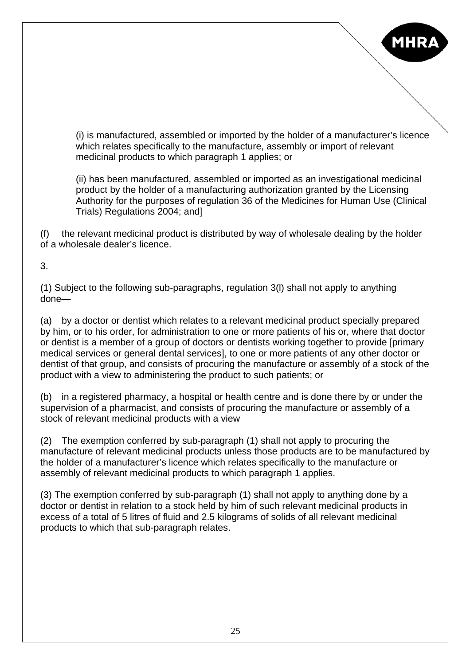

(i) is manufactured, assembled or imported by the holder of a manufacturer's licence which relates specifically to the manufacture, assembly or import of relevant medicinal products to which paragraph 1 applies; or

(ii) has been manufactured, assembled or imported as an investigational medicinal product by the holder of a manufacturing authorization granted by the Licensing Authority for the purposes of regulation 36 of the Medicines for Human Use (Clinical Trials) Regulations 2004; and]

(f) the relevant medicinal product is distributed by way of wholesale dealing by the holder of a wholesale dealer's licence.

3.

(1) Subject to the following sub-paragraphs, regulation 3(l) shall not apply to anything done—

(a) by a doctor or dentist which relates to a relevant medicinal product specially prepared by him, or to his order, for administration to one or more patients of his or, where that doctor or dentist is a member of a group of doctors or dentists working together to provide [primary medical services or general dental services], to one or more patients of any other doctor or dentist of that group, and consists of procuring the manufacture or assembly of a stock of the product with a view to administering the product to such patients; or

(b) in a registered pharmacy, a hospital or health centre and is done there by or under the supervision of a pharmacist, and consists of procuring the manufacture or assembly of a stock of relevant medicinal products with a view

(2) The exemption conferred by sub-paragraph (1) shall not apply to procuring the manufacture of relevant medicinal products unless those products are to be manufactured by the holder of a manufacturer's licence which relates specifically to the manufacture or assembly of relevant medicinal products to which paragraph 1 applies.

(3) The exemption conferred by sub-paragraph (1) shall not apply to anything done by a doctor or dentist in relation to a stock held by him of such relevant medicinal products in excess of a total of 5 litres of fluid and 2.5 kilograms of solids of all relevant medicinal products to which that sub-paragraph relates.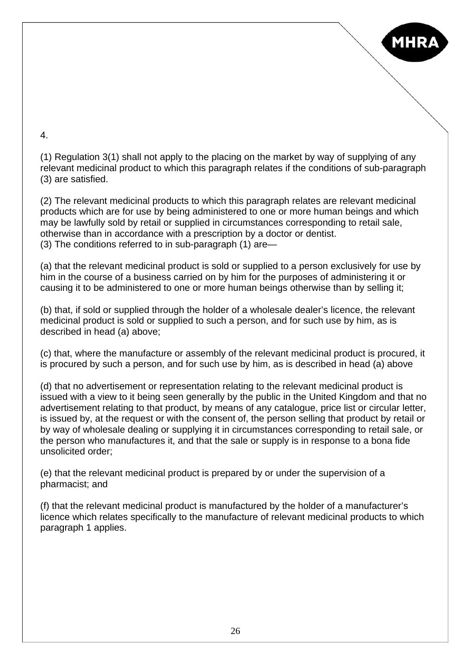

4.

(1) Regulation 3(1) shall not apply to the placing on the market by way of supplying of any relevant medicinal product to which this paragraph relates if the conditions of sub-paragraph (3) are satisfied.

(2) The relevant medicinal products to which this paragraph relates are relevant medicinal products which are for use by being administered to one or more human beings and which may be lawfully sold by retail or supplied in circumstances corresponding to retail sale, otherwise than in accordance with a prescription by a doctor or dentist. (3) The conditions referred to in sub-paragraph (1) are—

(a) that the relevant medicinal product is sold or supplied to a person exclusively for use by him in the course of a business carried on by him for the purposes of administering it or causing it to be administered to one or more human beings otherwise than by selling it;

(b) that, if sold or supplied through the holder of a wholesale dealer's licence, the relevant medicinal product is sold or supplied to such a person, and for such use by him, as is described in head (a) above;

(c) that, where the manufacture or assembly of the relevant medicinal product is procured, it is procured by such a person, and for such use by him, as is described in head (a) above

(d) that no advertisement or representation relating to the relevant medicinal product is issued with a view to it being seen generally by the public in the United Kingdom and that no advertisement relating to that product, by means of any catalogue, price list or circular letter, is issued by, at the request or with the consent of, the person selling that product by retail or by way of wholesale dealing or supplying it in circumstances corresponding to retail sale, or the person who manufactures it, and that the sale or supply is in response to a bona fide unsolicited order;

(e) that the relevant medicinal product is prepared by or under the supervision of a pharmacist; and

(f) that the relevant medicinal product is manufactured by the holder of a manufacturer's licence which relates specifically to the manufacture of relevant medicinal products to which paragraph 1 applies.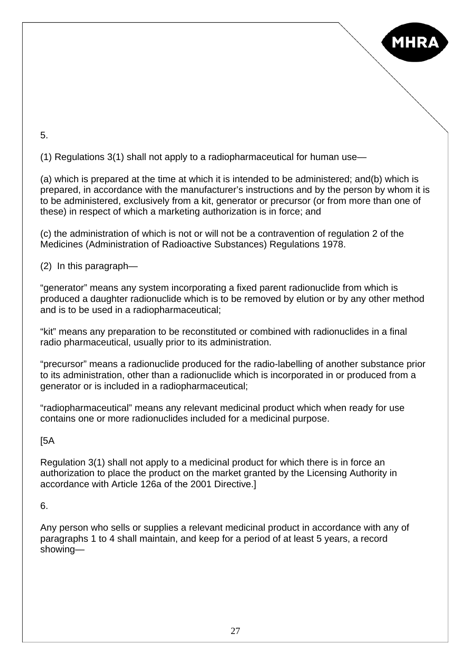

5.

(1) Regulations 3(1) shall not apply to a radiopharmaceutical for human use—

(a) which is prepared at the time at which it is intended to be administered; and(b) which is prepared, in accordance with the manufacturer's instructions and by the person by whom it is to be administered, exclusively from a kit, generator or precursor (or from more than one of these) in respect of which a marketing authorization is in force; and

(c) the administration of which is not or will not be a contravention of regulation 2 of the Medicines (Administration of Radioactive Substances) Regulations 1978.

(2) In this paragraph—

"generator" means any system incorporating a fixed parent radionuclide from which is produced a daughter radionuclide which is to be removed by elution or by any other method and is to be used in a radiopharmaceutical;

"kit" means any preparation to be reconstituted or combined with radionuclides in a final radio pharmaceutical, usually prior to its administration.

"precursor" means a radionuclide produced for the radio-labelling of another substance prior to its administration, other than a radionuclide which is incorporated in or produced from a generator or is included in a radiopharmaceutical;

"radiopharmaceutical" means any relevant medicinal product which when ready for use contains one or more radionuclides included for a medicinal purpose.

[5A

Regulation 3(1) shall not apply to a medicinal product for which there is in force an authorization to place the product on the market granted by the Licensing Authority in accordance with Article 126a of the 2001 Directive.]

6.

Any person who sells or supplies a relevant medicinal product in accordance with any of paragraphs 1 to 4 shall maintain, and keep for a period of at least 5 years, a record showing—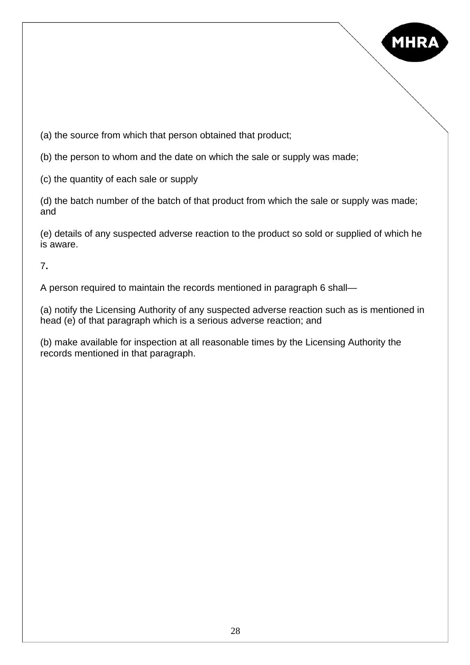

(a) the source from which that person obtained that product;

(b) the person to whom and the date on which the sale or supply was made;

(c) the quantity of each sale or supply

(d) the batch number of the batch of that product from which the sale or supply was made; and

(e) details of any suspected adverse reaction to the product so sold or supplied of which he is aware.

7**.** 

A person required to maintain the records mentioned in paragraph 6 shall—

(a) notify the Licensing Authority of any suspected adverse reaction such as is mentioned in head (e) of that paragraph which is a serious adverse reaction; and

(b) make available for inspection at all reasonable times by the Licensing Authority the records mentioned in that paragraph.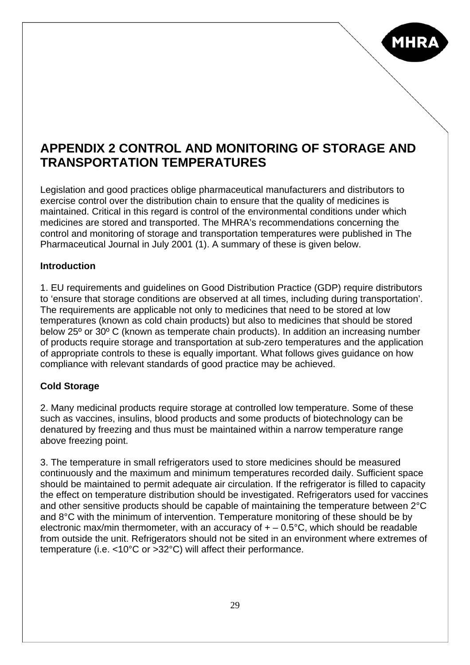

### **APPENDIX 2 CONTROL AND MONITORING OF STORAGE AND TRANSPORTATION TEMPERATURES**

Legislation and good practices oblige pharmaceutical manufacturers and distributors to exercise control over the distribution chain to ensure that the quality of medicines is maintained. Critical in this regard is control of the environmental conditions under which medicines are stored and transported. The MHRA's recommendations concerning the control and monitoring of storage and transportation temperatures were published in The Pharmaceutical Journal in July 2001 (1). A summary of these is given below.

#### **Introduction**

1. EU requirements and guidelines on Good Distribution Practice (GDP) require distributors to 'ensure that storage conditions are observed at all times, including during transportation'. The requirements are applicable not only to medicines that need to be stored at low temperatures (known as cold chain products) but also to medicines that should be stored below 25º or 30º C (known as temperate chain products). In addition an increasing number of products require storage and transportation at sub-zero temperatures and the application of appropriate controls to these is equally important. What follows gives guidance on how compliance with relevant standards of good practice may be achieved.

#### **Cold Storage**

2. Many medicinal products require storage at controlled low temperature. Some of these such as vaccines, insulins, blood products and some products of biotechnology can be denatured by freezing and thus must be maintained within a narrow temperature range above freezing point.

3. The temperature in small refrigerators used to store medicines should be measured continuously and the maximum and minimum temperatures recorded daily. Sufficient space should be maintained to permit adequate air circulation. If the refrigerator is filled to capacity the effect on temperature distribution should be investigated. Refrigerators used for vaccines and other sensitive products should be capable of maintaining the temperature between 2°C and 8°C with the minimum of intervention. Temperature monitoring of these should be by electronic max/min thermometer, with an accuracy of  $+ -0.5$ °C, which should be readable from outside the unit. Refrigerators should not be sited in an environment where extremes of temperature (i.e. <10°C or >32°C) will affect their performance.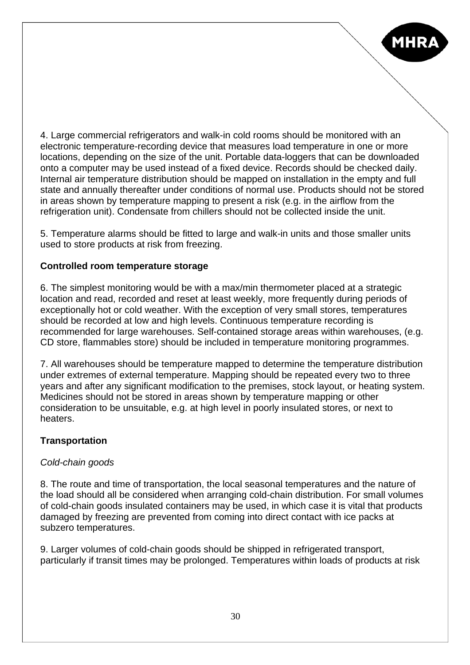4. Large commercial refrigerators and walk-in cold rooms should be monitored with an electronic temperature-recording device that measures load temperature in one or more locations, depending on the size of the unit. Portable data-loggers that can be downloaded onto a computer may be used instead of a fixed device. Records should be checked daily. Internal air temperature distribution should be mapped on installation in the empty and full state and annually thereafter under conditions of normal use. Products should not be stored in areas shown by temperature mapping to present a risk (e.g. in the airflow from the refrigeration unit). Condensate from chillers should not be collected inside the unit.

**MHR** 

5. Temperature alarms should be fitted to large and walk-in units and those smaller units used to store products at risk from freezing.

#### **Controlled room temperature storage**

6. The simplest monitoring would be with a max/min thermometer placed at a strategic location and read, recorded and reset at least weekly, more frequently during periods of exceptionally hot or cold weather. With the exception of very small stores, temperatures should be recorded at low and high levels. Continuous temperature recording is recommended for large warehouses. Self-contained storage areas within warehouses, (e.g. CD store, flammables store) should be included in temperature monitoring programmes.

7. All warehouses should be temperature mapped to determine the temperature distribution under extremes of external temperature. Mapping should be repeated every two to three years and after any significant modification to the premises, stock layout, or heating system. Medicines should not be stored in areas shown by temperature mapping or other consideration to be unsuitable, e.g. at high level in poorly insulated stores, or next to heaters.

#### **Transportation**

#### *Cold-chain goods*

8. The route and time of transportation, the local seasonal temperatures and the nature of the load should all be considered when arranging cold-chain distribution. For small volumes of cold-chain goods insulated containers may be used, in which case it is vital that products damaged by freezing are prevented from coming into direct contact with ice packs at subzero temperatures.

9. Larger volumes of cold-chain goods should be shipped in refrigerated transport, particularly if transit times may be prolonged. Temperatures within loads of products at risk